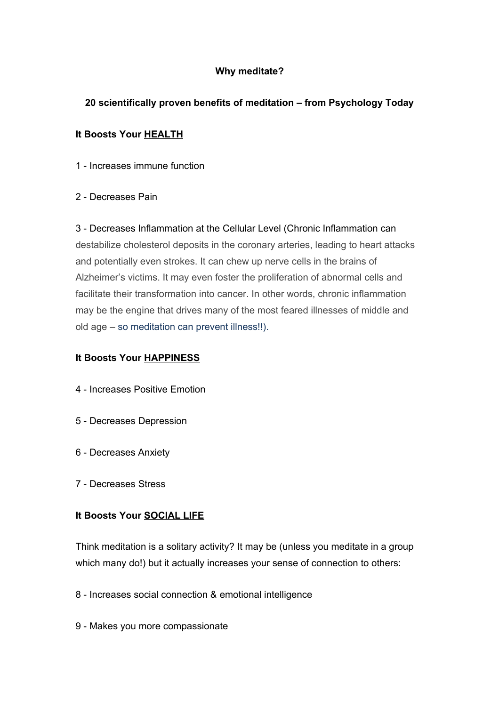## **Why meditate?**

# **20 scientifically proven benefits of meditation – from Psychology Today**

# **It Boosts Your [HEALTH](https://www.psychologytoday.com/basics/health)**

- 1 Increases immune function
- 2 Decreases Pain

3 - Decreases Inflammation at the Cellular Level (Chronic Inflammation can destabilize cholesterol deposits in the coronary arteries, leading to heart attacks and potentially even strokes. It can chew up nerve cells in the brains of Alzheimer's victims. It may even foster the proliferation of abnormal cells and facilitate their transformation into cancer. In other words, chronic inflammation may be the engine that drives many of the most feared illnesses of middle and old age – so meditation can prevent illness!!).

### **It Boosts Your [HAPPINESS](https://www.psychologytoday.com/basics/happiness)**

- 4 Increases Positive Emotion
- 5 Decreases [Depression](https://www.psychologytoday.com/basics/depression)
- 6 Decreases Anxiety
- 7 Decreases [Stress](https://www.psychologytoday.com/basics/stress)

### **It Boosts Your [SOCIAL LIFE](https://www.psychologytoday.com/basics/social-life)**

Think meditation is a solitary activity? It may be (unless you meditate in a group which many do!) but it actually increases your sense of connection to others:

- 8 Increases social connection & [emotional intelligence](https://www.psychologytoday.com/basics/emotional-intelligence)
- 9 Makes you more compassionate